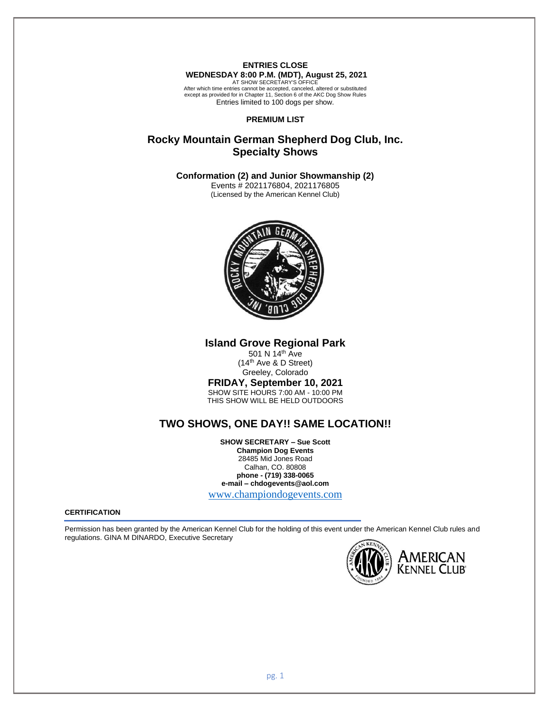**ENTRIES CLOSE WEDNESDAY 8:00 P.M. (MDT), August 25, 2021** AT SHOW SECRETARY'S OFFICE After which time entries cannot be accepted, canceled, altered or substituted

except as provided for in Chapter 11, Section 6 of the AKC Dog Show Rules Entries limited to 100 dogs per show.

## **PREMIUM LIST**

# **Rocky Mountain German Shepherd Dog Club, Inc. Specialty Shows**

**Conformation (2) and Junior Showmanship (2)**

Events # 2021176804, 2021176805 (Licensed by the American Kennel Club)



**Island Grove Regional Park**

501 N 14<sup>th</sup> Ave (14th Ave & D Street) Greeley, Colorado

# **FRIDAY, September 10, 2021**

SHOW SITE HOURS 7:00 AM - 10:00 PM THIS SHOW WILL BE HELD OUTDOORS

# **TWO SHOWS, ONE DAY!! SAME LOCATION!!**

**SHOW SECRETARY – Sue Scott Champion Dog Events** 28485 Mid Jones Road Calhan, CO. 80808 **phone - (719) 338-0065 e-mail – chdogevents@aol.com** [www.championdogevents.com](http://www.championdogevents.com/)

#### **CERTIFICATION**

Permission has been granted by the American Kennel Club for the holding of this event under the American Kennel Club rules and regulations. GINA M DINARDO, Executive Secretary

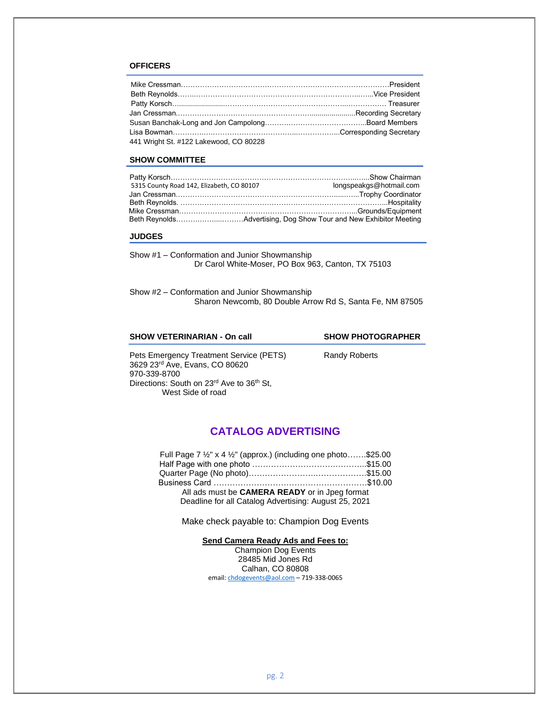# **OFFICERS**

| 441 Wright St. #122 Lakewood, CO 80228 |  |
|----------------------------------------|--|

#### **SHOW COMMITTEE**

| 5315 County Road 142, Elizabeth, CO 80107 | longspeakgs@hotmail.com |
|-------------------------------------------|-------------------------|
|                                           |                         |
|                                           |                         |
|                                           |                         |
|                                           |                         |

### **JUDGES**

Show #1 – Conformation and Junior Showmanship Dr Carol White-Moser, PO Box 963, Canton, TX 75103

Show #2 – Conformation and Junior Showmanship Sharon Newcomb, 80 Double Arrow Rd S, Santa Fe, NM 87505

| <b>SHOW VETERINARIAN - On call</b>                                                                                                     | <b>SHOW PHOTOGRAPHER</b> |  |  |
|----------------------------------------------------------------------------------------------------------------------------------------|--------------------------|--|--|
| Pets Emergency Treatment Service (PETS)<br>3629 23rd Ave, Evans, CO 80620<br>970-339-8700<br>Directions: South on 23rd Ave to 36th St, | <b>Randy Roberts</b>     |  |  |
| West Side of road                                                                                                                      |                          |  |  |

# **CATALOG ADVERTISING**

| Full Page 7 $\frac{1}{2}$ " x 4 $\frac{1}{2}$ " (approx.) (including one photo\$25.00 |  |
|---------------------------------------------------------------------------------------|--|
|                                                                                       |  |
|                                                                                       |  |
|                                                                                       |  |
| All ads must be CAMERA READY or in Jpeg format                                        |  |
| Deadline for all Catalog Advertising: August 25, 2021                                 |  |

Make check payable to: Champion Dog Events

**Send Camera Ready Ads and Fees to:**

Champion Dog Events 28485 Mid Jones Rd Calhan, CO 80808 email[: chdogevents@aol.com](mailto:chdogevents@aol.com) – 719-338-0065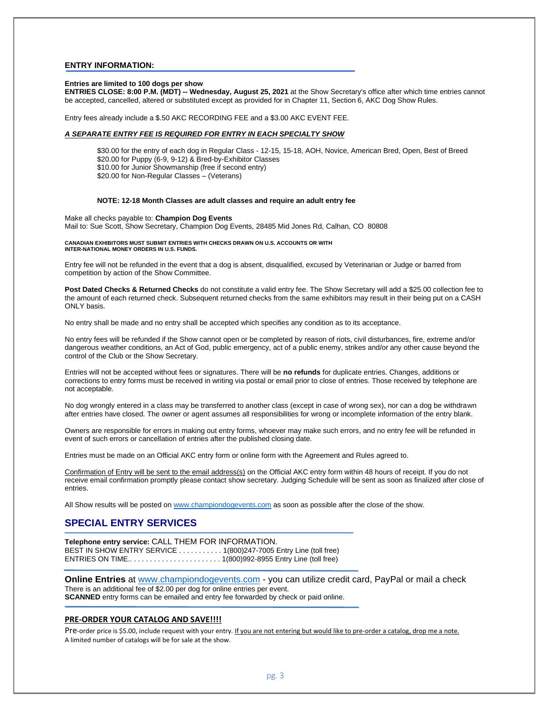#### **ENTRY INFORMATION:**

#### **Entries are limited to 100 dogs per show**

**ENTRIES CLOSE: 8:00 P.M. (MDT) -- Wednesday, August 25, 2021** at the Show Secretary's office after which time entries cannot be accepted, cancelled, altered or substituted except as provided for in Chapter 11, Section 6, AKC Dog Show Rules.

Entry fees already include a \$.50 AKC RECORDING FEE and a \$3.00 AKC EVENT FEE.

## *A SEPARATE ENTRY FEE IS REQUIRED FOR ENTRY IN EACH SPECIALTY SHOW*

\$30.00 for the entry of each dog in Regular Class - 12-15, 15-18, AOH, Novice, American Bred, Open, Best of Breed \$20.00 for Puppy (6-9, 9-12) & Bred-by-Exhibitor Classes \$10.00 for Junior Showmanship (free if second entry) \$20.00 for Non-Regular Classes – (Veterans)

#### **NOTE: 12-18 Month Classes are adult classes and require an adult entry fee**

Make all checks payable to: **Champion Dog Events** Mail to: Sue Scott, Show Secretary, Champion Dog Events, 28485 Mid Jones Rd, Calhan, CO 80808

#### **CANADIAN EXHIBITORS MUST SUBMIT ENTRIES WITH CHECKS DRAWN ON U.S. ACCOUNTS OR WITH INTER-NATIONAL MONEY ORDERS IN U.S. FUNDS.**

Entry fee will not be refunded in the event that a dog is absent, disqualified, excused by Veterinarian or Judge or barred from competition by action of the Show Committee.

**Post Dated Checks & Returned Checks** do not constitute a valid entry fee. The Show Secretary will add a \$25.00 collection fee to the amount of each returned check. Subsequent returned checks from the same exhibitors may result in their being put on a CASH ONLY basis.

No entry shall be made and no entry shall be accepted which specifies any condition as to its acceptance.

No entry fees will be refunded if the Show cannot open or be completed by reason of riots, civil disturbances, fire, extreme and/or dangerous weather conditions, an Act of God, public emergency, act of a public enemy, strikes and/or any other cause beyond the control of the Club or the Show Secretary.

Entries will not be accepted without fees or signatures. There will be **no refunds** for duplicate entries. Changes, additions or corrections to entry forms must be received in writing via postal or email prior to close of entries. Those received by telephone are not acceptable.

No dog wrongly entered in a class may be transferred to another class (except in case of wrong sex), nor can a dog be withdrawn after entries have closed. The owner or agent assumes all responsibilities for wrong or incomplete information of the entry blank.

Owners are responsible for errors in making out entry forms, whoever may make such errors, and no entry fee will be refunded in event of such errors or cancellation of entries after the published closing date.

Entries must be made on an Official AKC entry form or online form with the Agreement and Rules agreed to.

Confirmation of Entry will be sent to the email address(s) on the Official AKC entry form within 48 hours of receipt. If you do not receive email confirmation promptly please contact show secretary. Judging Schedule will be sent as soon as finalized after close of entries.

All Show results will be posted on [www.championdogevents.com](http://www.championdogevents.com/) as soon as possible after the close of the show.

# **SPECIAL ENTRY SERVICES**

**Telephone entry service:** CALL THEM FOR INFORMATION. BEST IN SHOW ENTRY SERVICE . . . . . . . . . . . 1(800)247-7005 Entry Line (toll free) ENTRIES ON TIME.. . . . . . . . . . . . . . . . . . . . . . . 1(800)992-8955 Entry Line (toll free)

**Online Entries** at [www.championdogevents.com](http://www.championdogevents.com/) - you can utilize credit card, PayPal or mail a check There is an additional fee of \$2.00 per dog for online entries per event. **SCANNED** entry forms can be emailed and entry fee forwarded by check or paid online.

#### **PRE-ORDER YOUR CATALOG AND SAVE!!!!**

Pre-order price is \$5.00, include request with your entry. If you are not entering but would like to pre-order a catalog, drop me a note. A limited number of catalogs will be for sale at the show.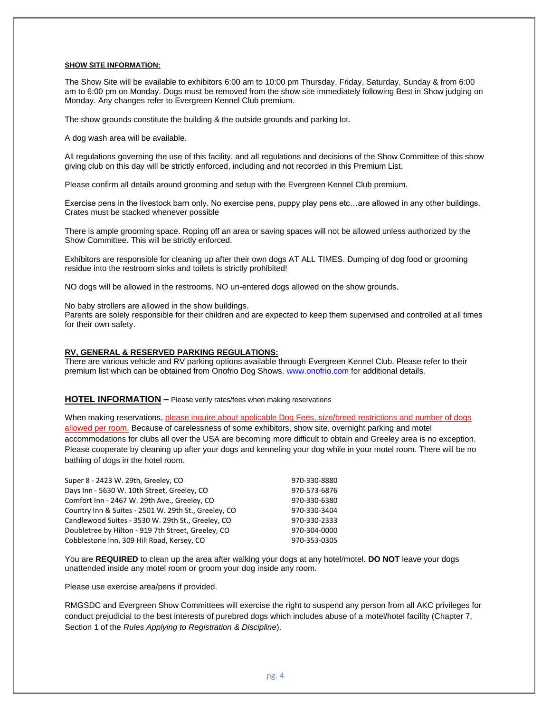### **SHOW SITE INFORMATION:**

The Show Site will be available to exhibitors 6:00 am to 10:00 pm Thursday, Friday, Saturday, Sunday & from 6:00 am to 6:00 pm on Monday. Dogs must be removed from the show site immediately following Best in Show judging on Monday. Any changes refer to Evergreen Kennel Club premium.

The show grounds constitute the building & the outside grounds and parking lot.

A dog wash area will be available.

All regulations governing the use of this facility, and all regulations and decisions of the Show Committee of this show giving club on this day will be strictly enforced, including and not recorded in this Premium List.

Please confirm all details around grooming and setup with the Evergreen Kennel Club premium.

Exercise pens in the livestock barn only. No exercise pens, puppy play pens etc…are allowed in any other buildings. Crates must be stacked whenever possible

There is ample grooming space. Roping off an area or saving spaces will not be allowed unless authorized by the Show Committee. This will be strictly enforced.

Exhibitors are responsible for cleaning up after their own dogs AT ALL TIMES. Dumping of dog food or grooming residue into the restroom sinks and toilets is strictly prohibited!

NO dogs will be allowed in the restrooms. NO un-entered dogs allowed on the show grounds.

No baby strollers are allowed in the show buildings.

Parents are solely responsible for their children and are expected to keep them supervised and controlled at all times for their own safety.

#### **RV, GENERAL & RESERVED PARKING REGULATIONS:**

There are various vehicle and RV parking options available through Evergreen Kennel Club. Please refer to their premium list which can be obtained from Onofrio Dog Shows, www.onofrio.com for additional details.

### **HOTEL INFORMATION –** Please verify rates/fees when making reservations

When making reservations, please inquire about applicable Dog Fees, size/breed restrictions and number of dogs allowed per room. Because of carelessness of some exhibitors, show site, overnight parking and motel accommodations for clubs all over the USA are becoming more difficult to obtain and Greeley area is no exception. Please cooperate by cleaning up after your dogs and kenneling your dog while in your motel room. There will be no bathing of dogs in the hotel room.

| Super 8 - 2423 W. 29th, Greeley, CO                  | 970-330-8880 |
|------------------------------------------------------|--------------|
| Days Inn - 5630 W. 10th Street, Greeley, CO          | 970-573-6876 |
| Comfort Inn - 2467 W. 29th Ave., Greeley, CO         | 970-330-6380 |
| Country Inn & Suites - 2501 W. 29th St., Greeley, CO | 970-330-3404 |
| Candlewood Suites - 3530 W. 29th St., Greeley, CO    | 970-330-2333 |
| Doubletree by Hilton - 919 7th Street, Greeley, CO   | 970-304-0000 |
| Cobblestone Inn, 309 Hill Road, Kersey, CO           | 970-353-0305 |

You are **REQUIRED** to clean up the area after walking your dogs at any hotel/motel. **DO NOT** leave your dogs unattended inside any motel room or groom your dog inside any room.

Please use exercise area/pens if provided.

RMGSDC and Evergreen Show Committees will exercise the right to suspend any person from all AKC privileges for conduct prejudicial to the best interests of purebred dogs which includes abuse of a motel/hotel facility (Chapter 7, Section 1 of the *Rules Applying to Registration & Discipline*).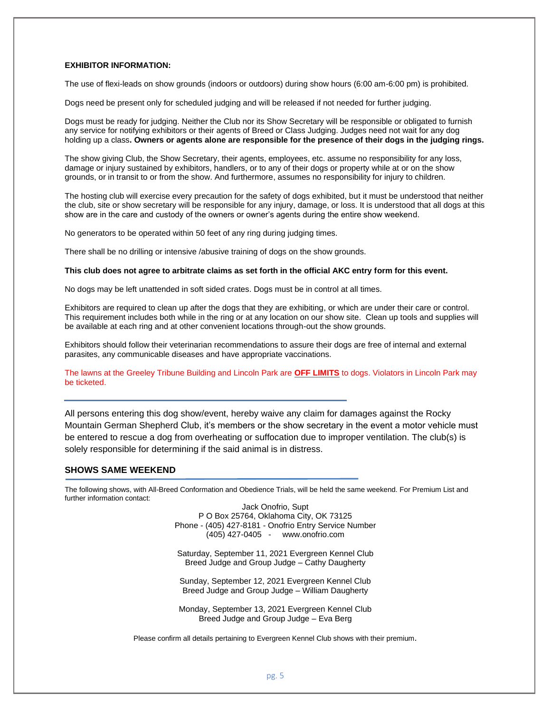# **EXHIBITOR INFORMATION:**

The use of flexi-leads on show grounds (indoors or outdoors) during show hours (6:00 am-6:00 pm) is prohibited.

Dogs need be present only for scheduled judging and will be released if not needed for further judging.

Dogs must be ready for judging. Neither the Club nor its Show Secretary will be responsible or obligated to furnish any service for notifying exhibitors or their agents of Breed or Class Judging. Judges need not wait for any dog holding up a class**. Owners or agents alone are responsible for the presence of their dogs in the judging rings.**

The show giving Club, the Show Secretary, their agents, employees, etc. assume no responsibility for any loss, damage or injury sustained by exhibitors, handlers, or to any of their dogs or property while at or on the show grounds, or in transit to or from the show. And furthermore, assumes no responsibility for injury to children.

The hosting club will exercise every precaution for the safety of dogs exhibited, but it must be understood that neither the club, site or show secretary will be responsible for any injury, damage, or loss. It is understood that all dogs at this show are in the care and custody of the owners or owner's agents during the entire show weekend.

No generators to be operated within 50 feet of any ring during judging times.

There shall be no drilling or intensive /abusive training of dogs on the show grounds.

#### **This club does not agree to arbitrate claims as set forth in the official AKC entry form for this event.**

No dogs may be left unattended in soft sided crates. Dogs must be in control at all times.

Exhibitors are required to clean up after the dogs that they are exhibiting, or which are under their care or control. This requirement includes both while in the ring or at any location on our show site. Clean up tools and supplies will be available at each ring and at other convenient locations through-out the show grounds.

Exhibitors should follow their veterinarian recommendations to assure their dogs are free of internal and external parasites, any communicable diseases and have appropriate vaccinations.

The lawns at the Greeley Tribune Building and Lincoln Park are **OFF LIMITS** to dogs. Violators in Lincoln Park may be ticketed.

All persons entering this dog show/event, hereby waive any claim for damages against the Rocky Mountain German Shepherd Club, it's members or the show secretary in the event a motor vehicle must be entered to rescue a dog from overheating or suffocation due to improper ventilation. The club(s) is solely responsible for determining if the said animal is in distress.

# **SHOWS SAME WEEKEND**

The following shows, with All-Breed Conformation and Obedience Trials, will be held the same weekend. For Premium List and further information contact:

> Jack Onofrio, Supt P O Box 25764, Oklahoma City, OK 73125 Phone - (405) 427-8181 - Onofrio Entry Service Number (405) 427-0405 - www.onofrio.com

Saturday, September 11, 2021 Evergreen Kennel Club Breed Judge and Group Judge – Cathy Daugherty

Sunday, September 12, 2021 Evergreen Kennel Club Breed Judge and Group Judge – William Daugherty

Monday, September 13, 2021 Evergreen Kennel Club Breed Judge and Group Judge – Eva Berg

Please confirm all details pertaining to Evergreen Kennel Club shows with their premium.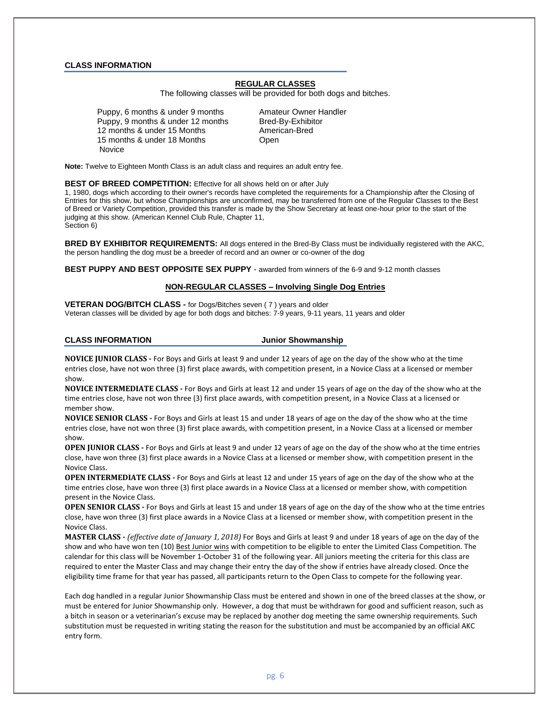### **CLASS INFORMATION**

# **REGULAR CLASSES**

The following classes will be provided for both dogs and bitches.

Puppy, 6 months & under 9 months Amateur Owner Handler Puppy, 9 months & under 12 months Bred-By-Exhibitor 12 months & under 15 Months American-Bred 15 months & under 18 Months **Changis** Open **Novice** 

**Note:** Twelve to Eighteen Month Class is an adult class and requires an adult entry fee.

#### **BEST OF BREED COMPETITION:** Effective for all shows held on or after July

1, 1980, dogs which according to their owner's records have completed the requirements for a Championship after the Closing of Entries for this show, but whose Championships are unconfirmed, may be transferred from one of the Regular Classes to the Best of Breed or Variety Competition, provided this transfer is made by the Show Secretary at least one-hour prior to the start of the judging at this show. (American Kennel Club Rule, Chapter 11, Section 6)

**BRED BY EXHIBITOR REQUIREMENTS:** All dogs entered in the Bred-By Class must be individually registered with the AKC, the person handling the dog must be a breeder of record and an owner or co-owner of the dog

**BEST PUPPY AND BEST OPPOSITE SEX PUPPY** - awarded from winners of the 6-9 and 9-12 month classes

### **NON-REGULAR CLASSES – Involving Single Dog Entries**

**VETERAN DOG/BITCH CLASS -** for Dogs/Bitches seven ( 7 ) years and older Veteran classes will be divided by age for both dogs and bitches: 7-9 years, 9-11 years, 11 years and older

#### **CLASS INFORMATION Junior Showmanship**

**NOVICE JUNIOR CLASS -** For Boys and Girls at least 9 and under 12 years of age on the day of the show who at the time entries close, have not won three (3) first place awards, with competition present, in a Novice Class at a licensed or member show.

**NOVICE INTERMEDIATE CLASS -** For Boys and Girls at least 12 and under 15 years of age on the day of the show who at the time entries close, have not won three (3) first place awards, with competition present, in a Novice Class at a licensed or member show.

**NOVICE SENIOR CLASS -** For Boys and Girls at least 15 and under 18 years of age on the day of the show who at the time entries close, have not won three (3) first place awards, with competition present, in a Novice Class at a licensed or member show.

**OPEN JUNIOR CLASS -** For Boys and Girls at least 9 and under 12 years of age on the day of the show who at the time entries close, have won three (3) first place awards in a Novice Class at a licensed or member show, with competition present in the Novice Class.

**OPEN INTERMEDIATE CLASS -** For Boys and Girls at least 12 and under 15 years of age on the day of the show who at the time entries close, have won three (3) first place awards in a Novice Class at a licensed or member show, with competition present in the Novice Class.

**OPEN SENIOR CLASS -** For Boys and Girls at least 15 and under 18 years of age on the day of the show who at the time entries close, have won three (3) first place awards in a Novice Class at a licensed or member show, with competition present in the Novice Class.

**MASTER CLASS -** *(effective date of January 1, 2018)* For Boys and Girls at least 9 and under 18 years of age on the day of the show and who have won ten (10) Best Junior wins with competition to be eligible to enter the Limited Class Competition. The calendar for this class will be November 1-October 31 of the following year. All juniors meeting the criteria for this class are required to enter the Master Class and may change their entry the day of the show if entries have already closed. Once the eligibility time frame for that year has passed, all participants return to the Open Class to compete for the following year.

Each dog handled in a regular Junior Showmanship Class must be entered and shown in one of the breed classes at the show, or must be entered for Junior Showmanship only. However, a dog that must be withdrawn for good and sufficient reason, such as a bitch in season or a veterinarian's excuse may be replaced by another dog meeting the same ownership requirements. Such substitution must be requested in writing stating the reason for the substitution and must be accompanied by an official AKC entry form.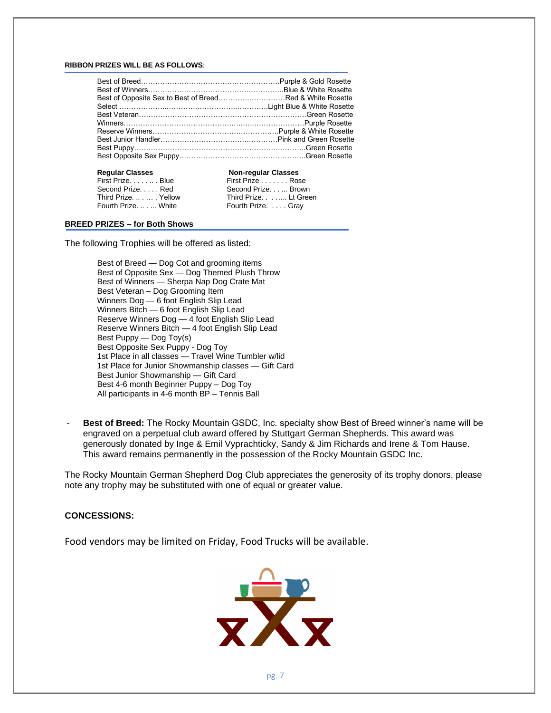#### **RIBBON PRIZES WILL BE AS FOLLOWS**:

| <b>Regular Classes</b> | <b>Non-regular Classes</b> |  |  |
|------------------------|----------------------------|--|--|
| First Prize. Blue      | First Prize Rose           |  |  |
| Second PrizeRed        | Second Prize Brown         |  |  |
| Third PrizeYellow      | Third Prize. Lt Green      |  |  |
| Fourth Prize.  White   | Fourth Prize. Gray         |  |  |
|                        |                            |  |  |

## **BREED PRIZES – for Both Shows**

The following Trophies will be offered as listed:

Best of Breed — Dog Cot and grooming items Best of Opposite Sex — Dog Themed Plush Throw Best of Winners — Sherpa Nap Dog Crate Mat Best Veteran – Dog Grooming Item Winners Dog — 6 foot English Slip Lead Winners Bitch — 6 foot English Slip Lead Reserve Winners Dog — 4 foot English Slip Lead Reserve Winners Bitch — 4 foot English Slip Lead Best Puppy — Dog Toy(s) Best Opposite Sex Puppy - Dog Toy 1st Place in all classes — Travel Wine Tumbler w/lid 1st Place for Junior Showmanship classes — Gift Card Best Junior Showmanship — Gift Card Best 4-6 month Beginner Puppy – Dog Toy All participants in 4-6 month BP - Tennis Ball

- **Best of Breed:** The Rocky Mountain GSDC, Inc. specialty show Best of Breed winner's name will be engraved on a perpetual club award offered by Stuttgart German Shepherds. This award was generously donated by Inge & Emil Vyprachticky, Sandy & Jim Richards and Irene & Tom Hause. This award remains permanently in the possession of the Rocky Mountain GSDC Inc.

The Rocky Mountain German Shepherd Dog Club appreciates the generosity of its trophy donors, please note any trophy may be substituted with one of equal or greater value.

## **CONCESSIONS:**

Food vendors may be limited on Friday, Food Trucks will be available.

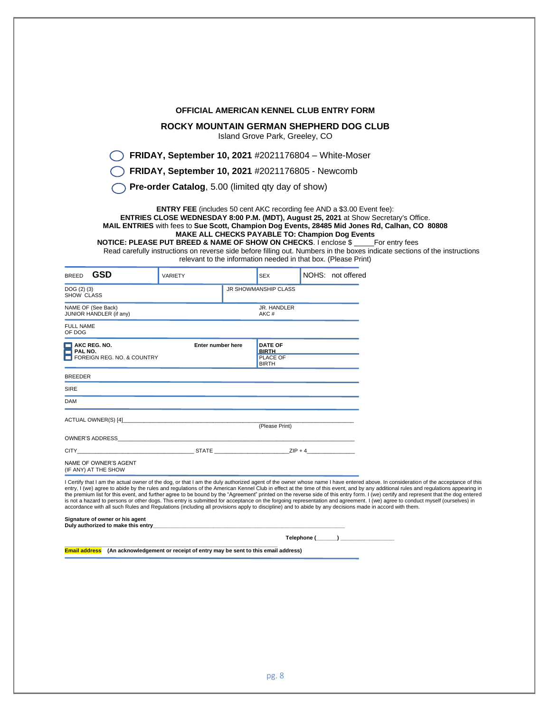|                                                                                                                                                                                                                                                            |                                                          |                                | OFFICIAL AMERICAN KENNEL CLUB ENTRY FORM                                                                                                                                                                                                                                                                                                                                                                                                                                                                                                                                                                                                                                                                                                                                                                                                                                                              |  |
|------------------------------------------------------------------------------------------------------------------------------------------------------------------------------------------------------------------------------------------------------------|----------------------------------------------------------|--------------------------------|-------------------------------------------------------------------------------------------------------------------------------------------------------------------------------------------------------------------------------------------------------------------------------------------------------------------------------------------------------------------------------------------------------------------------------------------------------------------------------------------------------------------------------------------------------------------------------------------------------------------------------------------------------------------------------------------------------------------------------------------------------------------------------------------------------------------------------------------------------------------------------------------------------|--|
|                                                                                                                                                                                                                                                            |                                                          |                                |                                                                                                                                                                                                                                                                                                                                                                                                                                                                                                                                                                                                                                                                                                                                                                                                                                                                                                       |  |
|                                                                                                                                                                                                                                                            |                                                          | Island Grove Park, Greeley, CO | ROCKY MOUNTAIN GERMAN SHEPHERD DOG CLUB                                                                                                                                                                                                                                                                                                                                                                                                                                                                                                                                                                                                                                                                                                                                                                                                                                                               |  |
|                                                                                                                                                                                                                                                            |                                                          |                                | FRIDAY, September 10, 2021 #2021176804 - White-Moser                                                                                                                                                                                                                                                                                                                                                                                                                                                                                                                                                                                                                                                                                                                                                                                                                                                  |  |
|                                                                                                                                                                                                                                                            | FRIDAY, September 10, 2021 #2021176805 - Newcomb         |                                |                                                                                                                                                                                                                                                                                                                                                                                                                                                                                                                                                                                                                                                                                                                                                                                                                                                                                                       |  |
|                                                                                                                                                                                                                                                            | <b>Pre-order Catalog, 5.00 (limited gty day of show)</b> |                                |                                                                                                                                                                                                                                                                                                                                                                                                                                                                                                                                                                                                                                                                                                                                                                                                                                                                                                       |  |
|                                                                                                                                                                                                                                                            |                                                          |                                | <b>ENTRY FEE</b> (includes 50 cent AKC recording fee AND a \$3.00 Event fee):<br>ENTRIES CLOSE WEDNESDAY 8:00 P.M. (MDT), August 25, 2021 at Show Secretary's Office.<br>MAIL ENTRIES with fees to Sue Scott, Champion Dog Events, 28485 Mid Jones Rd, Calhan, CO 80808<br><b>MAKE ALL CHECKS PAYABLE TO: Champion Dog Events</b><br><b>NOTICE: PLEASE PUT BREED &amp; NAME OF SHOW ON CHECKS. I enclose \$</b> For entry fees<br>Read carefully instructions on reverse side before filling out. Numbers in the boxes indicate sections of the instructions<br>relevant to the information needed in that box. (Please Print)                                                                                                                                                                                                                                                                        |  |
| GSD<br>BREED                                                                                                                                                                                                                                               | VARIETY                                                  | <b>SEX</b>                     | NOHS: not offered                                                                                                                                                                                                                                                                                                                                                                                                                                                                                                                                                                                                                                                                                                                                                                                                                                                                                     |  |
| DOG (2) (3)<br>SHOW CLASS                                                                                                                                                                                                                                  |                                                          | JR SHOWMANSHIP CLASS           |                                                                                                                                                                                                                                                                                                                                                                                                                                                                                                                                                                                                                                                                                                                                                                                                                                                                                                       |  |
| NAME OF (See Back)                                                                                                                                                                                                                                         |                                                          | JR. HANDLER                    |                                                                                                                                                                                                                                                                                                                                                                                                                                                                                                                                                                                                                                                                                                                                                                                                                                                                                                       |  |
|                                                                                                                                                                                                                                                            |                                                          | AKC#                           |                                                                                                                                                                                                                                                                                                                                                                                                                                                                                                                                                                                                                                                                                                                                                                                                                                                                                                       |  |
|                                                                                                                                                                                                                                                            |                                                          |                                |                                                                                                                                                                                                                                                                                                                                                                                                                                                                                                                                                                                                                                                                                                                                                                                                                                                                                                       |  |
|                                                                                                                                                                                                                                                            | Enter number here                                        | <b>DATE OF</b><br><b>BIRTH</b> |                                                                                                                                                                                                                                                                                                                                                                                                                                                                                                                                                                                                                                                                                                                                                                                                                                                                                                       |  |
|                                                                                                                                                                                                                                                            |                                                          | PLACE OF<br><b>BIRTH</b>       |                                                                                                                                                                                                                                                                                                                                                                                                                                                                                                                                                                                                                                                                                                                                                                                                                                                                                                       |  |
|                                                                                                                                                                                                                                                            |                                                          |                                |                                                                                                                                                                                                                                                                                                                                                                                                                                                                                                                                                                                                                                                                                                                                                                                                                                                                                                       |  |
|                                                                                                                                                                                                                                                            |                                                          |                                |                                                                                                                                                                                                                                                                                                                                                                                                                                                                                                                                                                                                                                                                                                                                                                                                                                                                                                       |  |
|                                                                                                                                                                                                                                                            |                                                          |                                |                                                                                                                                                                                                                                                                                                                                                                                                                                                                                                                                                                                                                                                                                                                                                                                                                                                                                                       |  |
|                                                                                                                                                                                                                                                            |                                                          | (Please Print)                 |                                                                                                                                                                                                                                                                                                                                                                                                                                                                                                                                                                                                                                                                                                                                                                                                                                                                                                       |  |
|                                                                                                                                                                                                                                                            |                                                          |                                |                                                                                                                                                                                                                                                                                                                                                                                                                                                                                                                                                                                                                                                                                                                                                                                                                                                                                                       |  |
|                                                                                                                                                                                                                                                            |                                                          |                                |                                                                                                                                                                                                                                                                                                                                                                                                                                                                                                                                                                                                                                                                                                                                                                                                                                                                                                       |  |
| JUNIOR HANDLER (if any)<br><b>FULL NAME</b><br>OF DOG<br>$\Box$ AKC REG. NO.<br>$\Box$ PAL NO.<br>FOREIGN REG. NO. & COUNTRY<br>BREEDER<br>SIRE<br>DAM<br>ACTUAL OWNER(S) [4]_<br>OWNER'S ADDRESS<br>CITY<br>NAME OF OWNER'S AGENT<br>(IF ANY) AT THE SHOW |                                                          |                                | Certify that I am the actual owner of the dog, or that I am the duly authorized agent of the owner whose name I have entered above. In consideration of the acceptance of this<br>entry, I (we) agree to abide by the rules and regulations of the American Kennel Club in effect at the time of this event, and by any additional rules and regulations appearing in<br>the premium list for this event, and further agree to be bound by the "Agreement" printed on the reverse side of this entry form. I (we) certify and represent that the dog entered<br>is not a hazard to persons or other dogs. This entry is submitted for acceptance on the forgoing representation and agreement. I (we) agree to conduct myself (ourselves) in<br>accordance with all such Rules and Regulations (including all provisions apply to discipline) and to abide by any decisions made in accord with them. |  |
| Signature of owner or his agent                                                                                                                                                                                                                            |                                                          |                                |                                                                                                                                                                                                                                                                                                                                                                                                                                                                                                                                                                                                                                                                                                                                                                                                                                                                                                       |  |
|                                                                                                                                                                                                                                                            |                                                          |                                |                                                                                                                                                                                                                                                                                                                                                                                                                                                                                                                                                                                                                                                                                                                                                                                                                                                                                                       |  |